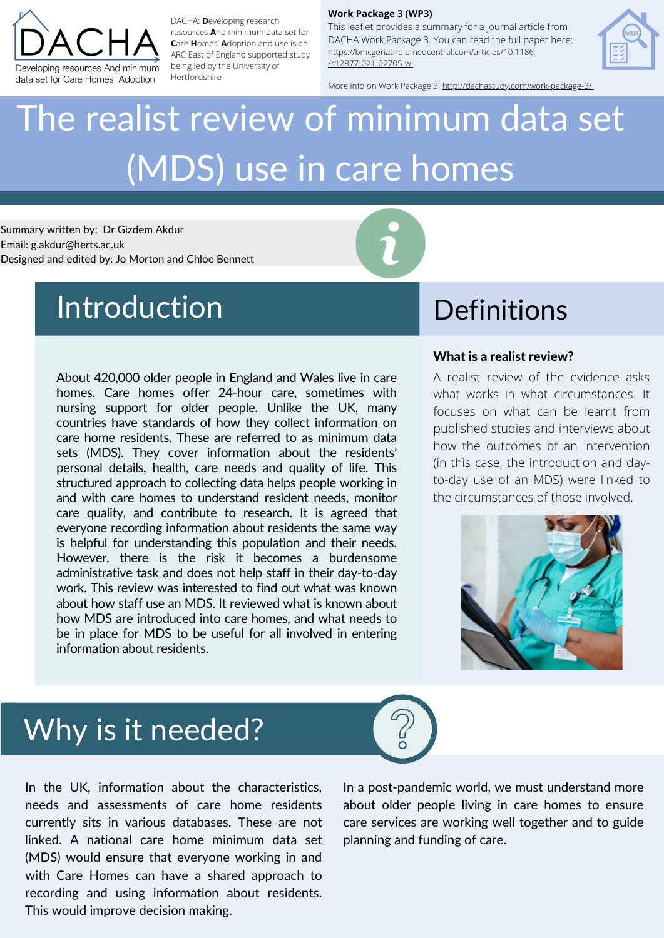About 420,000 older people in England and Wales live in care homes. Care homes offer 24-hour care, sometimes with nursing support for older people. Unlike the UK, many countries have standards of how they collect information on care home residents. These are referred to as minimum data sets (MDS). They cover information about the residents' personal details, health, care needs and quality of life. This structured approach to collecting data helps people working in and with care homes to understand resident needs, monitor care quality, and contribute to research. It is agreed that everyone recording information about residents the same way is helpful for understanding this population and their needs. However, there is the risk it becomes a burdensome administrative task and does not help staff in their day-to-day work. This review was interested to find out what was known about how staff use an MDS. It reviewed what is known about how MDS are introduced into care homes, and what needs to be in place for MDS to be useful for all involved in entering information about residents.

### Why is it needed?

# The realist review of minimum data set (MDS) use in care homes

Summary written by: Dr Gizdem Akdur Email: g.akdur@herts.ac.uk Designed and edited by: Jo Morton and Chloe Bennett

## Introduction Definitions

### **Work Package 3 (WP3)**

This leaflet provides a summary for a journal article from DACHA Work Package 3. You can read the full paper here: [https://bmcgeriatr.biomedcentral.com/articles/10.1186](https://bmcgeriatr.biomedcentral.com/articles/10.1186/s12877-021-02705-w) /s12877-021-02705-[w](https://bmcgeriatr.biomedcentral.com/articles/10.1186/s12877-021-02705-w)



More info on Work Package 3: <http://dachastudy.com/work-package-3/>



DACHA: **D**eveloping research resources **A**nd minimum data set for **C**are **H**omes' **A**doption and use is an ARC East of England supported study being led by the University of Hertfordshire

### What is a realist review?

A realist review of the evidence asks what works in what circumstances. It focuses on what can be learnt from published studies and interviews about how the outcomes of an intervention (in this case, the introduction and dayto-day use of an MDS) were linked to the circumstances of those involved.



In the UK, information about the characteristics, needs and assessments of care home residents currently sits in various databases. These are not linked. A national care home minimum data set (MDS) would ensure that everyone working in and with Care Homes can have a shared approach to recording and using information about residents. This would improve decision making.

In a post-pandemic world, we must understand more about older people living in care homes to ensure care services are working well together and to guide planning and funding of care.